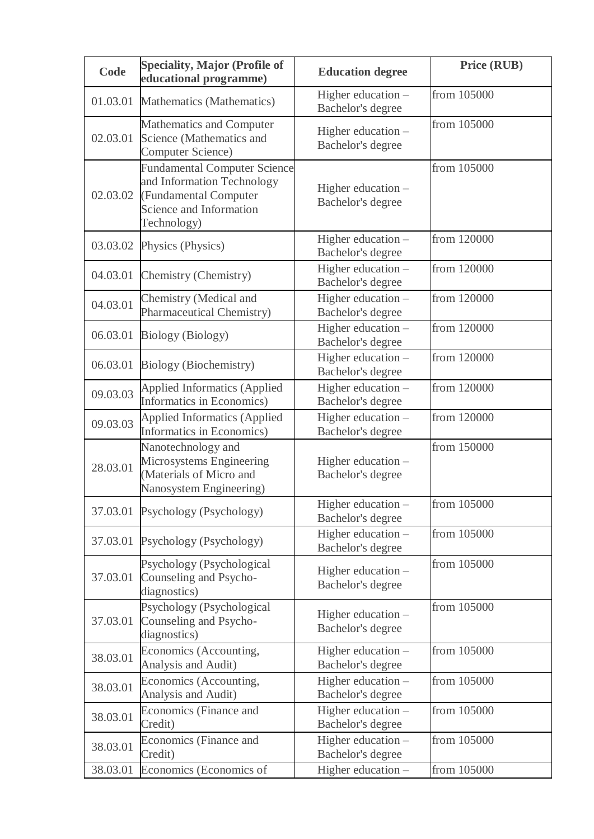| Code     | <b>Speciality, Major (Profile of</b><br>educational programme)                                                                       | <b>Education degree</b>                 | Price (RUB) |
|----------|--------------------------------------------------------------------------------------------------------------------------------------|-----------------------------------------|-------------|
| 01.03.01 | Mathematics (Mathematics)                                                                                                            | Higher education -<br>Bachelor's degree | from 105000 |
| 02.03.01 | Mathematics and Computer<br>Science (Mathematics and<br>Computer Science)                                                            | Higher education -<br>Bachelor's degree | from 105000 |
| 02.03.02 | <b>Fundamental Computer Science</b><br>and Information Technology<br>(Fundamental Computer<br>Science and Information<br>Technology) | Higher education -<br>Bachelor's degree | from 105000 |
| 03.03.02 | Physics (Physics)                                                                                                                    | Higher education -<br>Bachelor's degree | from 120000 |
| 04.03.01 | Chemistry (Chemistry)                                                                                                                | Higher education -<br>Bachelor's degree | from 120000 |
| 04.03.01 | Chemistry (Medical and<br><b>Pharmaceutical Chemistry)</b>                                                                           | Higher education -<br>Bachelor's degree | from 120000 |
| 06.03.01 | <b>Biology (Biology)</b>                                                                                                             | Higher education -<br>Bachelor's degree | from 120000 |
| 06.03.01 | <b>Biology</b> (Biochemistry)                                                                                                        | Higher education -<br>Bachelor's degree | from 120000 |
| 09.03.03 | <b>Applied Informatics (Applied</b><br>Informatics in Economics)                                                                     | Higher education -<br>Bachelor's degree | from 120000 |
| 09.03.03 | <b>Applied Informatics (Applied</b><br>Informatics in Economics)                                                                     | Higher education -<br>Bachelor's degree | from 120000 |
| 28.03.01 | Nanotechnology and<br>Microsystems Engineering<br>(Materials of Micro and<br>Nanosystem Engineering)                                 | Higher education -<br>Bachelor's degree | from 150000 |
| 37.03.01 | Psychology (Psychology)                                                                                                              | Higher education -<br>Bachelor's degree | from 105000 |
| 37.03.01 | Psychology (Psychology)                                                                                                              | Higher education -<br>Bachelor's degree | from 105000 |
| 37.03.01 | Psychology (Psychological<br>Counseling and Psycho-<br>diagnostics)                                                                  | Higher education -<br>Bachelor's degree | from 105000 |
| 37.03.01 | Psychology (Psychological<br>Counseling and Psycho-<br>diagnostics)                                                                  | Higher education -<br>Bachelor's degree | from 105000 |
| 38.03.01 | Economics (Accounting,<br>Analysis and Audit)                                                                                        | Higher education -<br>Bachelor's degree | from 105000 |
| 38.03.01 | Economics (Accounting,<br>Analysis and Audit)                                                                                        | Higher education -<br>Bachelor's degree | from 105000 |
| 38.03.01 | Economics (Finance and<br>Credit)                                                                                                    | Higher education -<br>Bachelor's degree | from 105000 |
| 38.03.01 | Economics (Finance and<br>Credit)                                                                                                    | Higher education -<br>Bachelor's degree | from 105000 |
| 38.03.01 | Economics (Economics of                                                                                                              | Higher education -                      | from 105000 |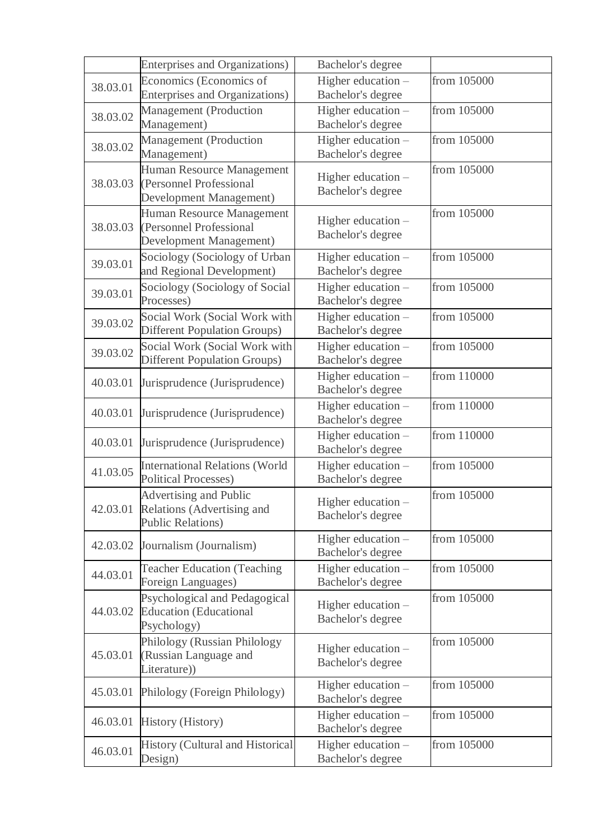|          | <b>Enterprises and Organizations)</b>                                | Bachelor's degree  |             |
|----------|----------------------------------------------------------------------|--------------------|-------------|
| 38.03.01 | Economics (Economics of                                              | Higher education - | from 105000 |
|          | <b>Enterprises and Organizations)</b>                                | Bachelor's degree  |             |
| 38.03.02 | Management (Production                                               | Higher education - | from 105000 |
|          | Management)                                                          | Bachelor's degree  |             |
| 38.03.02 | Management (Production                                               | Higher education - | from 105000 |
|          | Management)                                                          | Bachelor's degree  |             |
|          | Human Resource Management                                            | Higher education - | from 105000 |
| 38.03.03 | (Personnel Professional                                              | Bachelor's degree  |             |
|          | Development Management)                                              |                    |             |
|          | Human Resource Management                                            | Higher education - | from 105000 |
| 38.03.03 | (Personnel Professional                                              | Bachelor's degree  |             |
|          | Development Management)                                              |                    |             |
| 39.03.01 | Sociology (Sociology of Urban                                        | Higher education - | from 105000 |
|          | and Regional Development)                                            | Bachelor's degree  |             |
| 39.03.01 | Sociology (Sociology of Social                                       | Higher education - | from 105000 |
|          | Processes)                                                           | Bachelor's degree  |             |
| 39.03.02 | Social Work (Social Work with                                        | Higher education - | from 105000 |
|          | <b>Different Population Groups)</b>                                  | Bachelor's degree  |             |
| 39.03.02 | Social Work (Social Work with                                        | Higher education - | from 105000 |
|          | <b>Different Population Groups)</b>                                  | Bachelor's degree  |             |
| 40.03.01 | Jurisprudence (Jurisprudence)                                        | Higher education - | from 110000 |
|          |                                                                      | Bachelor's degree  |             |
| 40.03.01 | Jurisprudence (Jurisprudence)                                        | Higher education - | from 110000 |
|          |                                                                      | Bachelor's degree  |             |
| 40.03.01 | Jurisprudence (Jurisprudence)                                        | Higher education - | from 110000 |
|          |                                                                      | Bachelor's degree  |             |
| 41.03.05 | <b>International Relations (World</b><br><b>Political Processes)</b> | Higher education - | from 105000 |
|          |                                                                      | Bachelor's degree  |             |
| 42.03.01 | <b>Advertising and Public</b>                                        | Higher education   | from 105000 |
|          | Relations (Advertising and<br><b>Public Relations)</b>               | Bachelor's degree  |             |
|          |                                                                      | Higher education - | from 105000 |
| 42.03.02 | Journalism (Journalism)                                              | Bachelor's degree  |             |
|          | <b>Teacher Education (Teaching</b>                                   | Higher education - | from 105000 |
| 44.03.01 | Foreign Languages)                                                   | Bachelor's degree  |             |
|          | Psychological and Pedagogical                                        |                    | from 105000 |
| 44.03.02 | <b>Education</b> (Educational                                        | Higher education - |             |
|          | Psychology)                                                          | Bachelor's degree  |             |
|          | Philology (Russian Philology                                         |                    | from 105000 |
| 45.03.01 | (Russian Language and                                                | Higher education - |             |
|          | Literature))                                                         | Bachelor's degree  |             |
|          |                                                                      | Higher education - | from 105000 |
| 45.03.01 | Philology (Foreign Philology)                                        | Bachelor's degree  |             |
|          |                                                                      | Higher education - | from 105000 |
| 46.03.01 | <b>History (History)</b>                                             | Bachelor's degree  |             |
|          | <b>History (Cultural and Historical</b>                              | Higher education - | from 105000 |
| 46.03.01 | Design)                                                              | Bachelor's degree  |             |
|          |                                                                      |                    |             |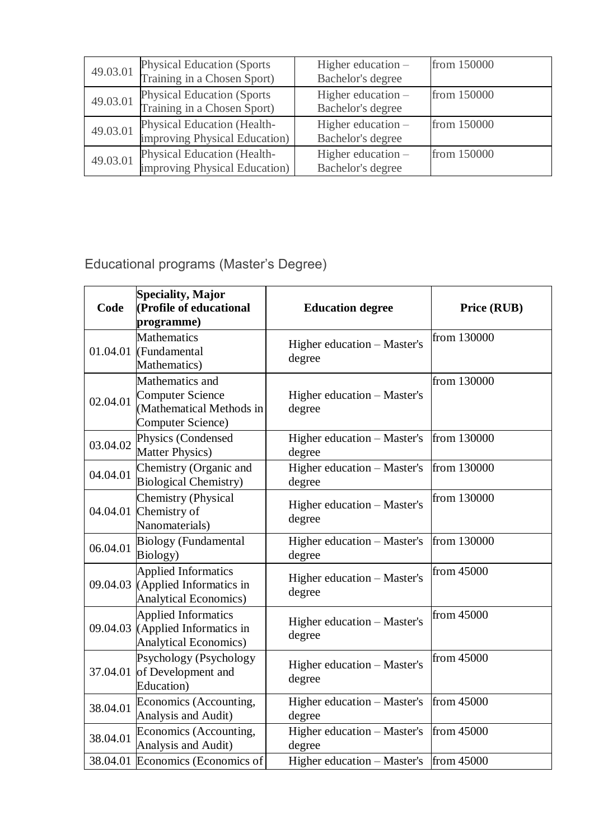| 49.03.01 | <b>Physical Education (Sports)</b><br>Training in a Chosen Sport) | Higher education -<br>Bachelor's degree   | from 150000 |
|----------|-------------------------------------------------------------------|-------------------------------------------|-------------|
| 49.03.01 | <b>Physical Education (Sports)</b><br>Training in a Chosen Sport) | Higher education $-$<br>Bachelor's degree | from 150000 |
| 49.03.01 | Physical Education (Health-<br>improving Physical Education)      | Higher education -<br>Bachelor's degree   | from 150000 |
| 49.03.01 | Physical Education (Health-<br>improving Physical Education)      | Higher education $-$<br>Bachelor's degree | from 150000 |

Educational programs (Master's Degree)

| Code     | <b>Speciality, Major</b><br>(Profile of educational<br>programme)                           | <b>Education degree</b>               | Price (RUB) |
|----------|---------------------------------------------------------------------------------------------|---------------------------------------|-------------|
| 01.04.01 | <b>Mathematics</b><br>(Fundamental<br>Mathematics)                                          | Higher education - Master's<br>degree | from 130000 |
| 02.04.01 | Mathematics and<br><b>Computer Science</b><br>(Mathematical Methods in<br>Computer Science) | Higher education – Master's<br>degree | from 130000 |
| 03.04.02 | Physics (Condensed<br><b>Matter Physics)</b>                                                | Higher education – Master's<br>degree | from 130000 |
| 04.04.01 | Chemistry (Organic and<br><b>Biological Chemistry)</b>                                      | Higher education - Master's<br>degree | from 130000 |
| 04.04.01 | <b>Chemistry (Physical</b><br>Chemistry of<br>Nanomaterials)                                | Higher education - Master's<br>degree | from 130000 |
| 06.04.01 | <b>Biology</b> (Fundamental<br>Biology)                                                     | Higher education – Master's<br>degree | from 130000 |
| 09.04.03 | <b>Applied Informatics</b><br>(Applied Informatics in<br><b>Analytical Economics)</b>       | Higher education - Master's<br>degree | from 45000  |
| 09.04.03 | <b>Applied Informatics</b><br>(Applied Informatics in<br><b>Analytical Economics)</b>       | Higher education - Master's<br>degree | from 45000  |
| 37.04.01 | Psychology (Psychology<br>of Development and<br>Education)                                  | Higher education - Master's<br>degree | from 45000  |
| 38.04.01 | Economics (Accounting,<br>Analysis and Audit)                                               | Higher education - Master's<br>degree | from 45000  |
| 38.04.01 | Economics (Accounting,<br>Analysis and Audit)                                               | Higher education – Master's<br>degree | from 45000  |
|          | 38.04.01 Economics (Economics of                                                            | Higher education – Master's           | from 45000  |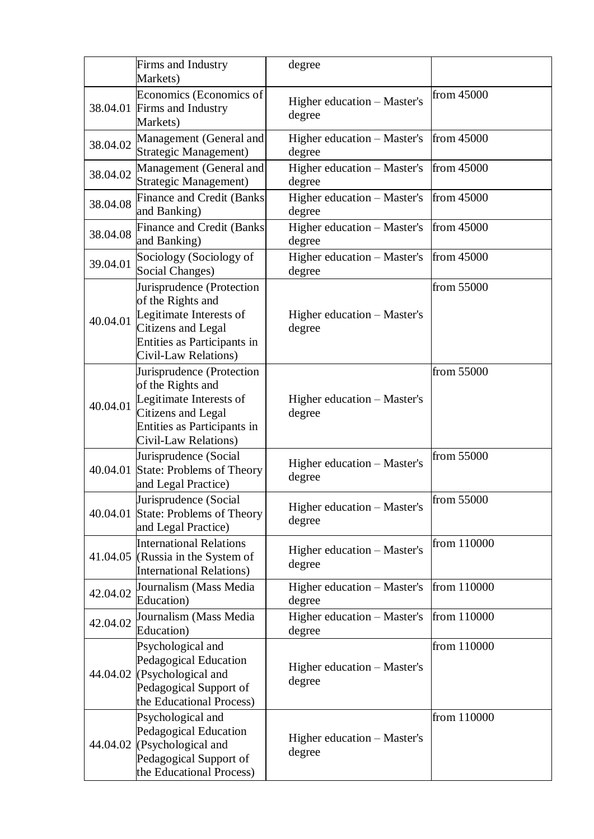|          | Firms and Industry<br>Markets)                                                                                                                                | degree                                |              |
|----------|---------------------------------------------------------------------------------------------------------------------------------------------------------------|---------------------------------------|--------------|
|          | Economics (Economics of<br>38.04.01 Firms and Industry<br>Markets)                                                                                            | Higher education - Master's<br>degree | from 45000   |
| 38.04.02 | Management (General and<br>Strategic Management)                                                                                                              | Higher education – Master's<br>degree | from $45000$ |
| 38.04.02 | Management (General and<br>Strategic Management)                                                                                                              | Higher education – Master's<br>degree | from 45000   |
| 38.04.08 | <b>Finance and Credit (Banks</b><br>and Banking)                                                                                                              | Higher education – Master's<br>degree | from $45000$ |
| 38.04.08 | <b>Finance and Credit (Banks</b><br>and Banking)                                                                                                              | Higher education – Master's<br>degree | from 45000   |
| 39.04.01 | Sociology (Sociology of<br>Social Changes)                                                                                                                    | Higher education – Master's<br>degree | from 45000   |
| 40.04.01 | Jurisprudence (Protection<br>of the Rights and<br>Legitimate Interests of<br><b>Citizens and Legal</b><br>Entities as Participants in<br>Civil-Law Relations) | Higher education – Master's<br>degree | from 55000   |
| 40.04.01 | Jurisprudence (Protection<br>of the Rights and<br>Legitimate Interests of<br><b>Citizens and Legal</b><br>Entities as Participants in<br>Civil-Law Relations) | Higher education – Master's<br>degree | from 55000   |
| 40.04.01 | Jurisprudence (Social<br>State: Problems of Theory<br>and Legal Practice)                                                                                     | Higher education - Master's<br>degree | from 55000   |
|          | Jurisprudence (Social<br>40.04.01 State: Problems of Theory<br>and Legal Practice)                                                                            | Higher education – Master's<br>degree | from 55000   |
| 41.04.05 | <b>International Relations</b><br>(Russia in the System of<br><b>International Relations)</b>                                                                 | Higher education - Master's<br>degree | from 110000  |
| 42.04.02 | Journalism (Mass Media<br>Education)                                                                                                                          | Higher education – Master's<br>degree | from 110000  |
| 42.04.02 | Journalism (Mass Media<br>Education)                                                                                                                          | Higher education – Master's<br>degree | from 110000  |
| 44.04.02 | Psychological and<br>Pedagogical Education<br>(Psychological and<br>Pedagogical Support of<br>the Educational Process)                                        | Higher education – Master's<br>degree | from 110000  |
|          | Psychological and<br>Pedagogical Education<br>44.04.02 (Psychological and<br>Pedagogical Support of<br>the Educational Process)                               | Higher education – Master's<br>degree | from 110000  |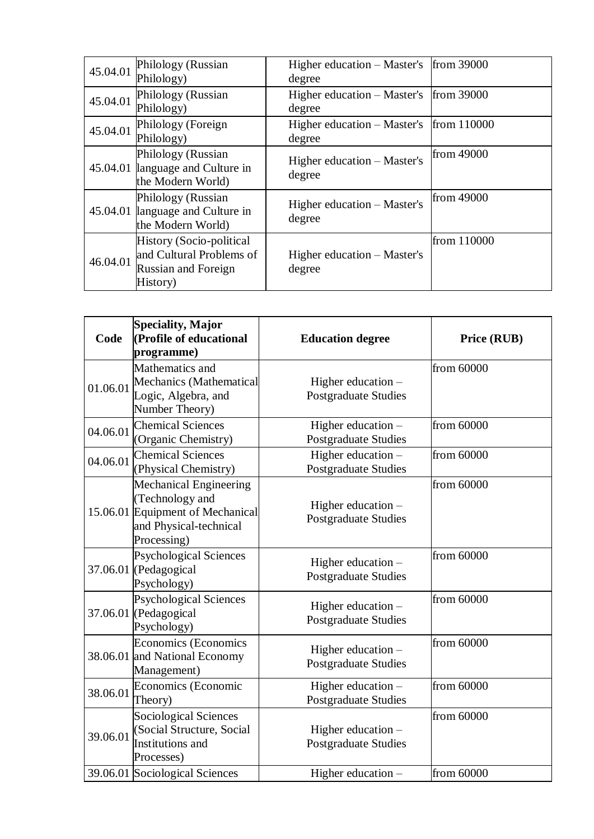| 45.04.01 | Philology (Russian               | Higher education – Master's | from 39000  |
|----------|----------------------------------|-----------------------------|-------------|
|          | Philology)                       | degree                      |             |
| 45.04.01 | Philology (Russian               | Higher education – Master's | from 39000  |
|          | Philology)                       | degree                      |             |
|          | Philology (Foreign               | Higher education – Master's | from 110000 |
| 45.04.01 | Philology)                       | degree                      |             |
|          | Philology (Russian               | Higher education – Master's | from 49000  |
|          | 45.04.01 language and Culture in | degree                      |             |
|          | the Modern World)                |                             |             |
|          | Philology (Russian               | Higher education – Master's | from 49000  |
|          | 45.04.01 language and Culture in | degree                      |             |
|          | the Modern World)                |                             |             |
| 46.04.01 | History (Socio-political         |                             | from 110000 |
|          | and Cultural Problems of         | Higher education – Master's |             |
|          | <b>Russian and Foreign</b>       | degree                      |             |
|          | History)                         |                             |             |

| Code     | <b>Speciality, Major</b><br>(Profile of educational<br>programme)                                                             | <b>Education degree</b>                           | Price (RUB) |
|----------|-------------------------------------------------------------------------------------------------------------------------------|---------------------------------------------------|-------------|
| 01.06.01 | Mathematics and<br>Mechanics (Mathematical<br>Logic, Algebra, and<br>Number Theory)                                           | Higher education -<br>Postgraduate Studies        | from 60000  |
| 04.06.01 | <b>Chemical Sciences</b><br>(Organic Chemistry)                                                                               | Higher education -<br>Postgraduate Studies        | from 60000  |
| 04.06.01 | <b>Chemical Sciences</b><br>(Physical Chemistry)                                                                              | Higher education -<br><b>Postgraduate Studies</b> | from 60000  |
|          | <b>Mechanical Engineering</b><br>(Technology and<br>15.06.01 Equipment of Mechanical<br>and Physical-technical<br>Processing) | Higher education -<br>Postgraduate Studies        | from 60000  |
|          | <b>Psychological Sciences</b><br>37.06.01 (Pedagogical<br>Psychology)                                                         | Higher education -<br>Postgraduate Studies        | from 60000  |
|          | <b>Psychological Sciences</b><br>37.06.01 (Pedagogical<br>Psychology)                                                         | Higher education -<br>Postgraduate Studies        | from 60000  |
|          | Economics (Economics<br>38.06.01 and National Economy<br>Management)                                                          | Higher education -<br><b>Postgraduate Studies</b> | from 60000  |
| 38.06.01 | Economics (Economic<br>Theory)                                                                                                | Higher education -<br>Postgraduate Studies        | from 60000  |
| 39.06.01 | <b>Sociological Sciences</b><br>(Social Structure, Social<br>Institutions and<br>Processes)                                   | Higher education -<br>Postgraduate Studies        | from 60000  |
|          | 39.06.01 Sociological Sciences                                                                                                | Higher education -                                | from 60000  |